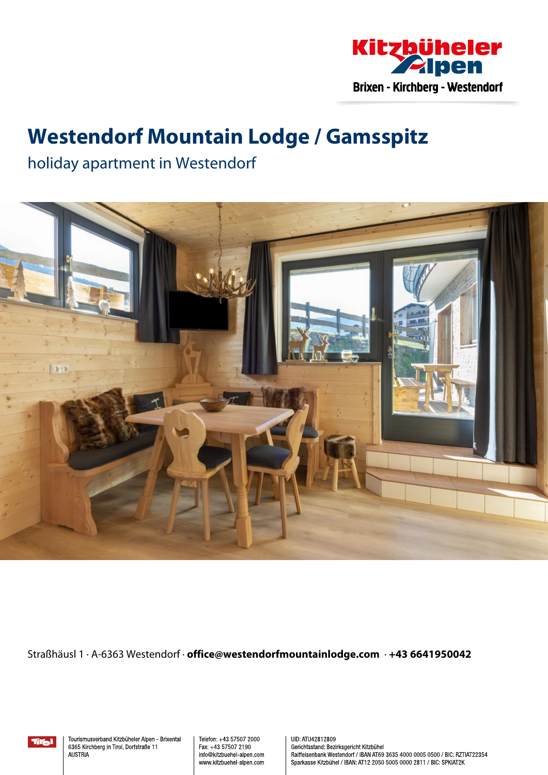

## **Westendorf Mountain Lodge / Gamsspitz**

holiday apartment in Westendorf



Straßhäusl 1 · A-6363 Westendorf · **office@westendorfmountainlodge.com** · **+43 6641950042**

Tral

Tourismusverband Kitzbüheler Alpen - Brixental 6365 Kirchberg in Tirol, Dorfstraße 11 **AUSTRIA** 

Telefon: +43 57507 2000 Fax: +43 57507 2190 info@kitzbuehel-alpen.com www.kitzbuehel-alpen.com UID: ATU42812809 Gerichtsstand: Bezirksgericht Kitzbühel Raiffeisenbank Westendorf / IBAN AT69 3635 4000 0005 0500 / BIC: RZTIAT22354 Sparkasse Kitzbühel / IBAN: AT12 2050 5005 0000 2811 / BIC: SPKIAT2K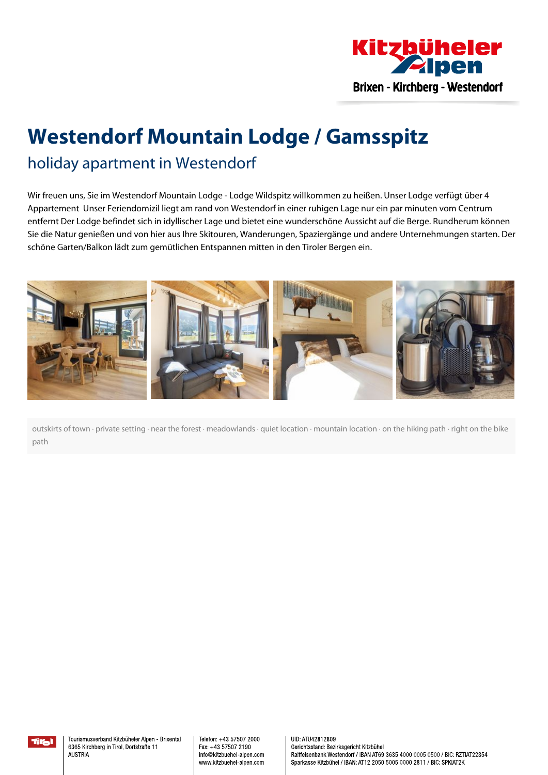

# **Westendorf Mountain Lodge / Gamsspitz**

### holiday apartment in Westendorf

Wir freuen uns, Sie im Westendorf Mountain Lodge - Lodge Wildspitz willkommen zu heißen. Unser Lodge verfügt über 4 Appartement Unser Feriendomizil liegt am rand von Westendorf in einer ruhigen Lage nur ein par minuten vom Centrum entfernt Der Lodge befindet sich in idyllischer Lage und bietet eine wunderschöne Aussicht auf die Berge. Rundherum können Sie die Natur genießen und von hier aus Ihre Skitouren, Wanderungen, Spaziergänge und andere Unternehmungen starten. Der schöne Garten/Balkon lädt zum gemütlichen Entspannen mitten in den Tiroler Bergen ein.



outskirts of town · private setting · near the forest · meadowlands · quiet location · mountain location · on the hiking path · right on the bike path

Telefon: +43 57507 2000 Fax: +43 57507 2190 info@kitzbuehel-alpen.com www.kitzbuehel-alpen.com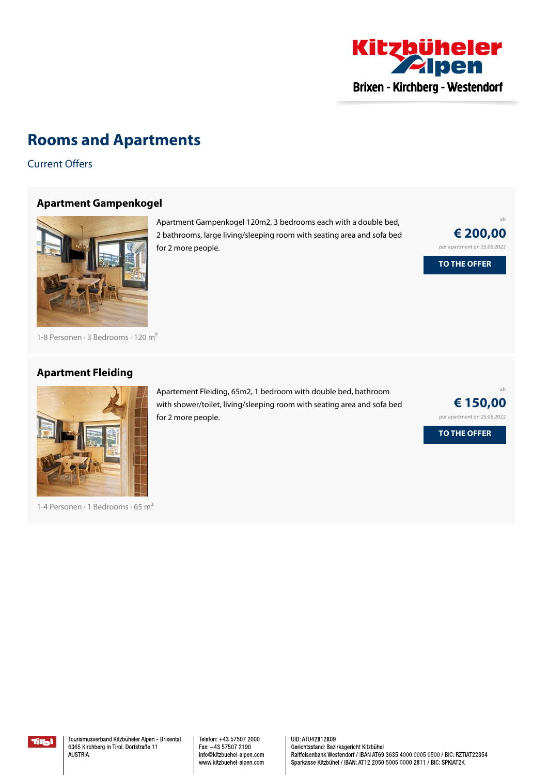

### **Rooms and Apartments**

Current Offers

#### **Apartment [Gampenkogel](https://www.kitzbueheler-alpen.com/en/bri/accommodation/booking/westendorf-mountain-lodge-gamsspitz.html?utm_medium=PDF&utm_campaign=Vermieter-Prospekt&utm_source=Westendorf+Mountain+Lodge+%2f+Gamsspitz)**



Apartment Gampenkogel 120m2, 3 bedrooms each with <sup>a</sup> double bed, 2 bathrooms, large living/sleeping room with seating area and sofa bed for 2 more people.

ab **€ 200,00** per apartment on 25.06.2022 **TO THE OFFER**

1-8 Personen · 3 Bedrooms · 120 <sup>m</sup><sup>²</sup>

#### **[Apartment](https://www.kitzbueheler-alpen.com/en/bri/accommodation/booking/westendorf-mountain-lodge-gamsspitz.html?utm_medium=PDF&utm_campaign=Vermieter-Prospekt&utm_source=Westendorf+Mountain+Lodge+%2f+Gamsspitz) Fleiding**



1-4 Personen · 1 Bedrooms · 65 <sup>m</sup><sup>²</sup>

Apartement Fleiding, 65m2, 1 bedroom with double bed, bathroom with shower/toilet, living/sleeping room with seating area and sofa bed for 2 more people.



Telefon: +43 57507 2000 Fax: +43 57507 2190 info@kitzbuehel-alpen.com www.kitzbuehel-alpen.com UID: ATU42812809 Gerichtsstand: Bezirksgericht Kitzbühel Raiffeisenbank Westendorf / IBAN AT69 3635 4000 0005 0500 / BIC: RZTIAT22354 Sparkasse Kitzbühel / IBAN: AT12 2050 5005 0000 2811 / BIC: SPKIAT2K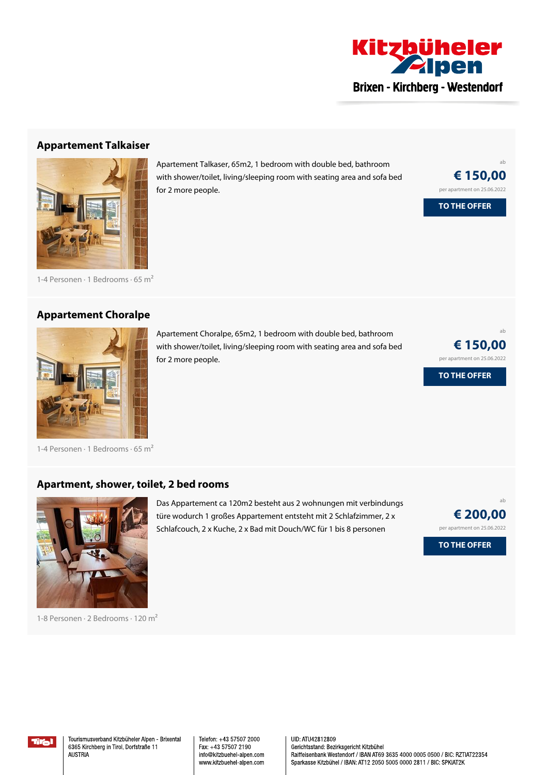

#### **[Appartement](https://www.kitzbueheler-alpen.com/en/bri/accommodation/booking/westendorf-mountain-lodge-gamsspitz.html?utm_medium=PDF&utm_campaign=Vermieter-Prospekt&utm_source=Westendorf+Mountain+Lodge+%2f+Gamsspitz) Talkaiser**



1-4 Personen · 1 Bedrooms · 65 <sup>m</sup><sup>²</sup>

#### **[Appartement](https://www.kitzbueheler-alpen.com/en/bri/accommodation/booking/westendorf-mountain-lodge-gamsspitz.html?utm_medium=PDF&utm_campaign=Vermieter-Prospekt&utm_source=Westendorf+Mountain+Lodge+%2f+Gamsspitz) Choralpe**



Apartement Choralpe, 65m2, 1 bedroom with double bed, bathroom with shower/toilet, living/sleeping room with seating area and sofa bed for 2 more people.

Apartement Talkaser, 65m2, 1 bedroom with double bed, bathroom with shower/toilet, living/sleeping room with seating area and sofa bed

for 2 more people.

ab **€ 150,00** per apartment on 25.06.2022

ab

**€ 150,00** per apartment on 25.06.2022

**TO THE OFFER**

**TO THE OFFER**

1-4 Personen · 1 Bedrooms · 65 <sup>m</sup><sup>²</sup>

#### **[Apartment,](https://www.kitzbueheler-alpen.com/en/bri/accommodation/booking/westendorf-mountain-lodge-gamsspitz.html?utm_medium=PDF&utm_campaign=Vermieter-Prospekt&utm_source=Westendorf+Mountain+Lodge+%2f+Gamsspitz) shower, toilet, 2 bed rooms**



1-8 Personen · 2 Bedrooms · 120 <sup>m</sup><sup>²</sup>

Das Appartement ca 120m2 besteht aus 2 wohnungen mit verbindungs türe wodurch 1 großes Appartement entsteht mit 2 Schlafzimmer, 2 <sup>x</sup> Schlafcouch, 2 <sup>x</sup> Kuche, 2 <sup>x</sup> Bad mit Douch/WC für 1 bis 8 personen



**TO THE OFFER**



Tourismusverband Kitzbüheler Alpen - Brixental 6365 Kirchberg in Tirol, Dorfstraße 11 **AUSTRIA** 

Telefon: +43 57507 2000 Fax: +43 57507 2190 info@kitzbuehel-alpen.com www.kitzbuehel-alpen.com UID: ATU42812809 Gerichtsstand: Bezirksgericht Kitzbühel Raiffeisenbank Westendorf / IBAN AT69 3635 4000 0005 0500 / BIC: RZTIAT22354 Sparkasse Kitzbühel / IBAN: AT12 2050 5005 0000 2811 / BIC: SPKIAT2K